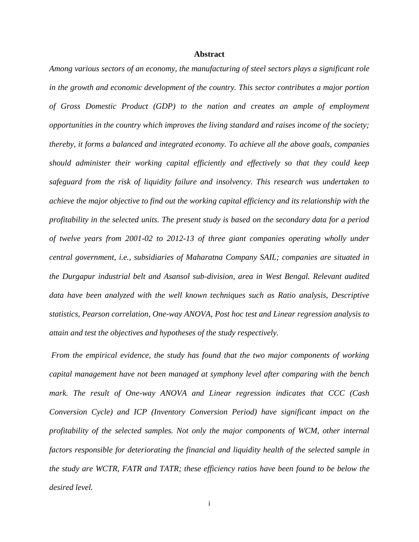## **Abstract**

*Among various sectors of an economy, the manufacturing of steel sectors plays a significant role in the growth and economic development of the country. This sector contributes a major portion of Gross Domestic Product (GDP) to the nation and creates an ample of employment opportunities in the country which improves the living standard and raises income of the society; thereby, it forms a balanced and integrated economy. To achieve all the above goals, companies should administer their working capital efficiently and effectively so that they could keep safeguard from the risk of liquidity failure and insolvency. This research was undertaken to achieve the major objective to find out the working capital efficiency and its relationship with the profitability in the selected units. The present study is based on the secondary data for a period of twelve years from 2001-02 to 2012-13 of three giant companies operating wholly under central government, i.e., subsidiaries of Maharatna Company SAIL; companies are situated in the Durgapur industrial belt and Asansol sub-division, area in West Bengal. Relevant audited data have been analyzed with the well known techniques such as Ratio analysis, Descriptive statistics, Pearson correlation, One-way ANOVA, Post hoc test and Linear regression analysis to attain and test the objectives and hypotheses of the study respectively.*

*From the empirical evidence, the study has found that the two major components of working capital management have not been managed at symphony level after comparing with the bench mark. The result of One-way ANOVA and Linear regression indicates that CCC (Cash Conversion Cycle) and ICP (Inventory Conversion Period) have significant impact on the profitability of the selected samples. Not only the major components of WCM, other internal factors responsible for deteriorating the financial and liquidity health of the selected sample in the study are WCTR, FATR and TATR; these efficiency ratios have been found to be below the desired level.*